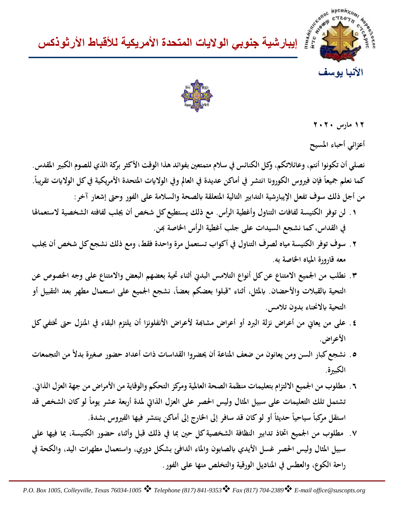





**١٢ مارس ٢٠٢٠**

**أعزائي أحباء المسيح**

**نصلي أن تكونوا أنتم، وعائلاتكم، وكل الكنائس في سلام متمتعين بفوائد هذا الوقت الأكثر بركة الذي للصوم الكبير المقدس.** كما نعلم جميعاً فإن فيروس الكورونا انتشر في أماكن عديدة في العالم وفي الولايات المتحدة الأمريكية في كل الولايات تقريباً. **من أجل ذلك سوف تفعل الإيبارشية التدابير التالية المتعلقة ابلصحة والسلامة على الفور وحتى إشعار آخر:**

- **.١ لن توفر الكنيسة لفافات التناول وأغطية الرأس. مع ذلك يستطيع كل شخص أن يجلب لفافته الشخصية لاستعمالها في القداس، كما نشجع السيدات على جلب أغطية الرأس الخاصة هبن.**
- **.٢ سوف توفر الكنيسة مياه لصرف التناول في أكواب تستعمل مرة واحدة فقط، ومع ذلك نشجع كل شخص أن يجلب معه قارورة المياه الخاصة به.**
- **.٣ نطلب من الجميع الامتناع عن كل أنواع التلامس البدني أثناء تحية بعضهم البعض والامتناع على وجه الخصوص عن**  التحية بالقبلات والأحضان. بالمثل، أثناء "قبلوا بعضكم بعضاً، نشجع الجميع على استعمال مطهر بعد التقبيل أو **التحية ابلانحناء بدون تلامس.**
- **.٤ على من يعاني من أعراض نزلة البرد أو أعراض مشاهبة لأعراض الأنفلونزا أن يلتزم البقاء في المنزل حتى تختفي كل الأعراض.**
- **ً من التجمعات .٥ نشجع كبار السن ومن يعانون من ضعف المناعة أن يحضروا القداسات ذات أعداد حضور صغيرة بدلا الكبيرة.**
- **.٦ مطلوب من الجميع الالتزام بتعليمات منظمة الصحة العالمية ومركز التحكم والوقاية من الأمراض من جهة العزل الذاتي.**  نشتمل تلك التعليمات على سبيل المثال وليس الحصر على العزل الذاتي لمدة أربعة عشر يوماً لو كان الشخص قد استقل مركباً سياحياً حديثاً أو لو كان قد سافر إلى الخارج إلى أماكن ينتشر فيها الفيروس بشدة.<br>·
- **.٧ مطلوب من الجميع اتخاذ تدابير النظافة الشخصية كل حين بما في ذلك قبل وأثناء حضور الكنيسة، بما فيها على سبيل المثال وليس الحصر غسل الأيدي ابلصابون والماء الدافئ بشكل دوري، واستعمال مطهرات اليد، والكحة في راحة الكوع، والعطس في المناديل الورقية والتخلص منها على الفور.**

*P.O. Box 1005, Colleyville, Texas 76034-1005 Telephone (817) 841-9353 Fax (817) 704-2389 E-mail [office@suscopts.org](mailto:office@suscopts.org)*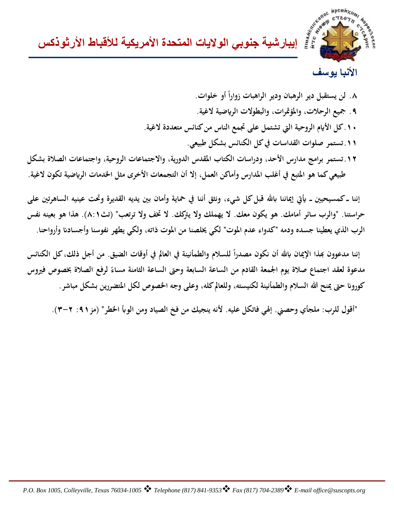

**إیبارشیة جنوبي الولایات المتحدة الأمریكیة للأقباط الأرثوذكس**

## **الأنبا یوسف**

**ً أو خلوات. .٨ لن يستقبل دير الرهبان ودير الراهبات زوارا .٩ جميع الرحلات، والمؤتمرات، والبطولات الر�ضية لاغية. .١٠كل الأ�م الروحية التي تشتمل على تجمع الناس من كنائس متعددة لاغية. .١١تستمر صلوات القداسات في كل الكنائس بشكل طبيعي. .١٢تستمر برامج مدارس الأحد، ودراسات الكتاب المقدس الدورية، والاجتماعات الروحية، واجتماعات الصلاة بشكل طبيعي كما هو المتبع في أغلب المدارس وأماكن العمل، إلا أن التجمعات الأخرى مثل الخدمات الر�ضية تكون لاغية.**

 **إننا ــ كمسيحيين ــ �تي إيماننا ابهلل قبل كل شيء، ونثق أننا في حماية وأمان بين يديه القديرة وتحت عينيه الساهرتين على حراستنا. "والرب سائر أمامك. هو يكون معك. لا يهملك ولا يتركك. لا تخف ولا ترتعب" (تث٨:١). هذا هو بعينه نفس الرب الذي يعطينا جسده ودمه "كدواء عدم الموت" لكي يخلصنا من الموت ذاته، ولكي يطهر نفوسنا وأجساد� وأرواحنا.**

إننا مدعوون بهذا الإيمان بالله أن نكون مصدراً للسلام والطمأنينة في العالم في أوقات الضيق. من أجل ذلك، كل الكنائس **مدعوة لعقد اجتماع صلاة يوم الجمعة القادم من الساعة السابعة وحتى الساعة الثامنة مساء لرفع الصلاة بخصوص فيروس ً كورو� حتى يمنح الله السلام والطمأنينة لكنيسته، وللعالم كله، وعلى وجه الخصوص لكل المتضررين بشكل مباشر.**

 **"أقول للرب: ملجأي وحصني. إلهي فاتكل عليه. لأنه ينجيك من فخ الصياد ومن الوأب الخطر" (مز:٩١ ٣-٢).**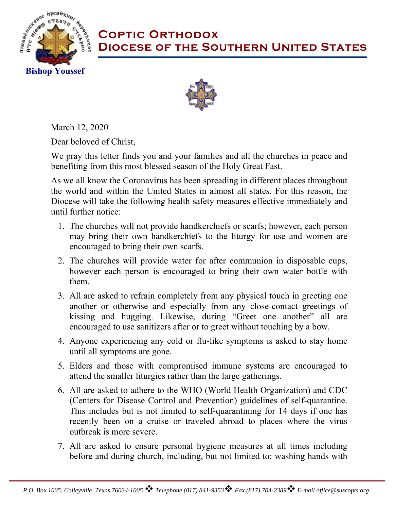

## **Coptic Orthodox Diocese of the Southern United States**



March 12, 2020

Dear beloved of Christ,

We pray this letter finds you and your families and all the churches in peace and benefiting from this most blessed season of the Holy Great Fast.

As we all know the Coronavirus has been spreading in different places throughout the world and within the United States in almost all states. For this reason, the Diocese will take the following health safety measures effective immediately and until further notice:

- 1. The churches will not provide handkerchiefs or scarfs; however, each person may bring their own handkerchiefs to the liturgy for use and women are encouraged to bring their own scarfs.
- 2. The churches will provide water for after communion in disposable cups, however each person is encouraged to bring their own water bottle with them.
- 3. All are asked to refrain completely from any physical touch in greeting one another or otherwise and especially from any close-contact greetings of kissing and hugging. Likewise, during "Greet one another" all are encouraged to use sanitizers after or to greet without touching by a bow.
- 4. Anyone experiencing any cold or flu-like symptoms is asked to stay home until all symptoms are gone.
- 5. Elders and those with compromised immune systems are encouraged to attend the smaller liturgies rather than the large gatherings.
- 6. All are asked to adhere to the WHO (World Health Organization) and CDC (Centers for Disease Control and Prevention) guidelines of self-quarantine. This includes but is not limited to self-quarantining for 14 days if one has recently been on a cruise or traveled abroad to places where the virus outbreak is more severe.
- 7. All are asked to ensure personal hygiene measures at all times including before and during church, including, but not limited to: washing hands with